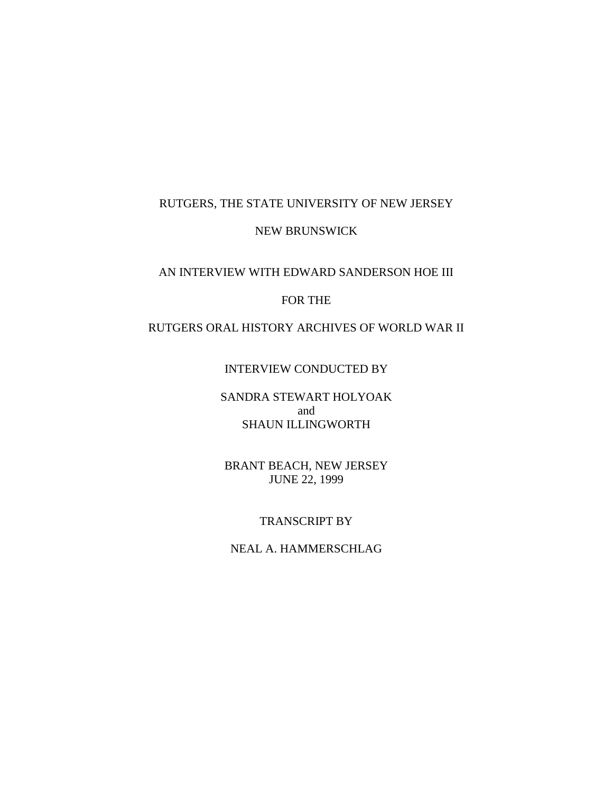# RUTGERS, THE STATE UNIVERSITY OF NEW JERSEY

NEW BRUNSWICK

# AN INTERVIEW WITH EDWARD SANDERSON HOE III

#### FOR THE

# RUTGERS ORAL HISTORY ARCHIVES OF WORLD WAR II

#### INTERVIEW CONDUCTED BY

# SANDRA STEWART HOLYOAK and SHAUN ILLINGWORTH

BRANT BEACH, NEW JERSEY JUNE 22, 1999

## TRANSCRIPT BY

## NEAL A. HAMMERSCHLAG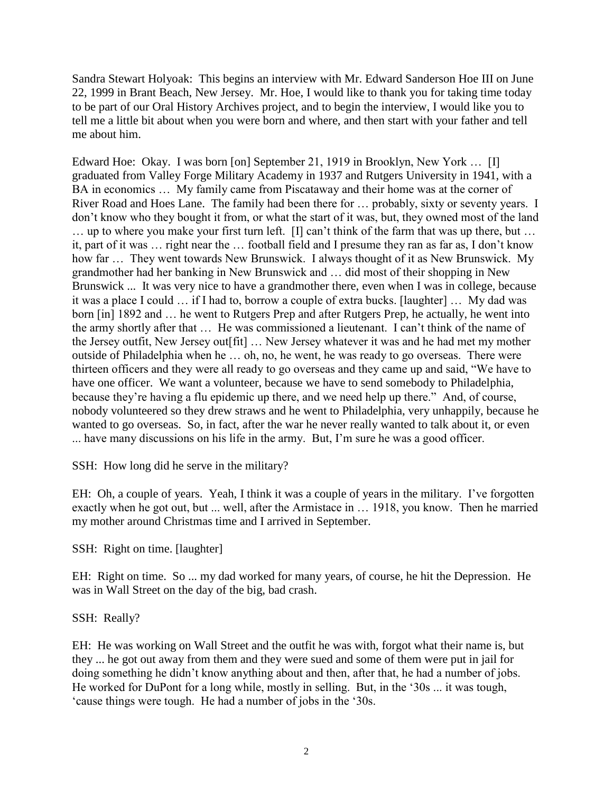Sandra Stewart Holyoak: This begins an interview with Mr. Edward Sanderson Hoe III on June 22, 1999 in Brant Beach, New Jersey. Mr. Hoe, I would like to thank you for taking time today to be part of our Oral History Archives project, and to begin the interview, I would like you to tell me a little bit about when you were born and where, and then start with your father and tell me about him.

Edward Hoe: Okay. I was born [on] September 21, 1919 in Brooklyn, New York … [I] graduated from Valley Forge Military Academy in 1937 and Rutgers University in 1941, with a BA in economics … My family came from Piscataway and their home was at the corner of River Road and Hoes Lane. The family had been there for … probably, sixty or seventy years. I don't know who they bought it from, or what the start of it was, but, they owned most of the land … up to where you make your first turn left. [I] can't think of the farm that was up there, but … it, part of it was … right near the … football field and I presume they ran as far as, I don't know how far … They went towards New Brunswick. I always thought of it as New Brunswick. My grandmother had her banking in New Brunswick and … did most of their shopping in New Brunswick ... It was very nice to have a grandmother there, even when I was in college, because it was a place I could … if I had to, borrow a couple of extra bucks. [laughter] … My dad was born [in] 1892 and … he went to Rutgers Prep and after Rutgers Prep, he actually, he went into the army shortly after that … He was commissioned a lieutenant. I can't think of the name of the Jersey outfit, New Jersey out[fit] … New Jersey whatever it was and he had met my mother outside of Philadelphia when he … oh, no, he went, he was ready to go overseas. There were thirteen officers and they were all ready to go overseas and they came up and said, "We have to have one officer. We want a volunteer, because we have to send somebody to Philadelphia, because they're having a flu epidemic up there, and we need help up there." And, of course, nobody volunteered so they drew straws and he went to Philadelphia, very unhappily, because he wanted to go overseas. So, in fact, after the war he never really wanted to talk about it, or even ... have many discussions on his life in the army. But, I'm sure he was a good officer.

SSH: How long did he serve in the military?

EH: Oh, a couple of years. Yeah, I think it was a couple of years in the military. I've forgotten exactly when he got out, but ... well, after the Armistace in … 1918, you know. Then he married my mother around Christmas time and I arrived in September.

SSH: Right on time. [laughter]

EH: Right on time. So ... my dad worked for many years, of course, he hit the Depression. He was in Wall Street on the day of the big, bad crash.

SSH: Really?

EH: He was working on Wall Street and the outfit he was with, forgot what their name is, but they ... he got out away from them and they were sued and some of them were put in jail for doing something he didn't know anything about and then, after that, he had a number of jobs. He worked for DuPont for a long while, mostly in selling. But, in the '30s ... it was tough, 'cause things were tough. He had a number of jobs in the '30s.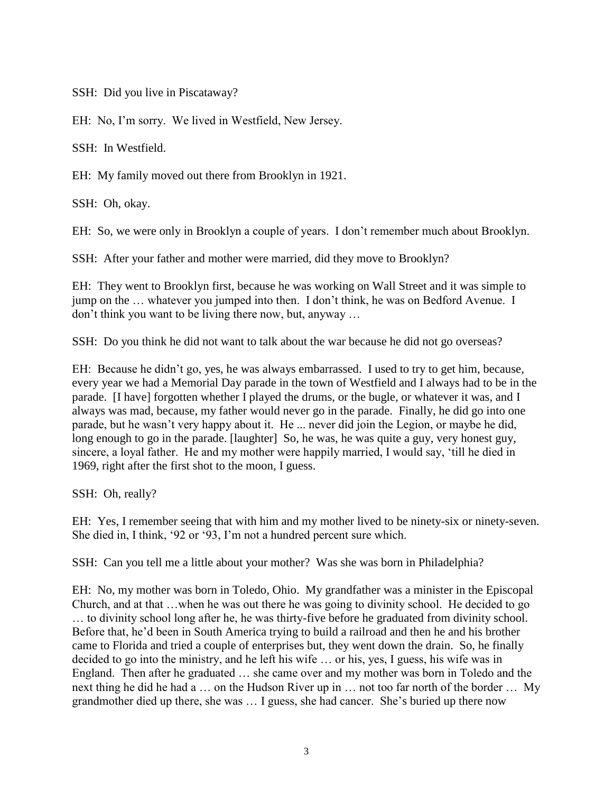SSH: Did you live in Piscataway?

EH: No, I'm sorry. We lived in Westfield, New Jersey.

SSH: In Westfield.

EH: My family moved out there from Brooklyn in 1921.

SSH: Oh, okay.

EH: So, we were only in Brooklyn a couple of years. I don't remember much about Brooklyn.

SSH: After your father and mother were married, did they move to Brooklyn?

EH: They went to Brooklyn first, because he was working on Wall Street and it was simple to jump on the … whatever you jumped into then. I don't think, he was on Bedford Avenue. I don't think you want to be living there now, but, anyway …

SSH: Do you think he did not want to talk about the war because he did not go overseas?

EH: Because he didn't go, yes, he was always embarrassed. I used to try to get him, because, every year we had a Memorial Day parade in the town of Westfield and I always had to be in the parade. [I have] forgotten whether I played the drums, or the bugle, or whatever it was, and I always was mad, because, my father would never go in the parade. Finally, he did go into one parade, but he wasn't very happy about it. He ... never did join the Legion, or maybe he did, long enough to go in the parade. [laughter] So, he was, he was quite a guy, very honest guy, sincere, a loyal father. He and my mother were happily married, I would say, 'till he died in 1969, right after the first shot to the moon, I guess.

SSH: Oh, really?

EH: Yes, I remember seeing that with him and my mother lived to be ninety-six or ninety-seven. She died in, I think, '92 or '93, I'm not a hundred percent sure which.

SSH: Can you tell me a little about your mother? Was she was born in Philadelphia?

EH: No, my mother was born in Toledo, Ohio. My grandfather was a minister in the Episcopal Church, and at that …when he was out there he was going to divinity school. He decided to go … to divinity school long after he, he was thirty-five before he graduated from divinity school. Before that, he'd been in South America trying to build a railroad and then he and his brother came to Florida and tried a couple of enterprises but, they went down the drain. So, he finally decided to go into the ministry, and he left his wife … or his, yes, I guess, his wife was in England. Then after he graduated … she came over and my mother was born in Toledo and the next thing he did he had a … on the Hudson River up in … not too far north of the border … My grandmother died up there, she was … I guess, she had cancer. She's buried up there now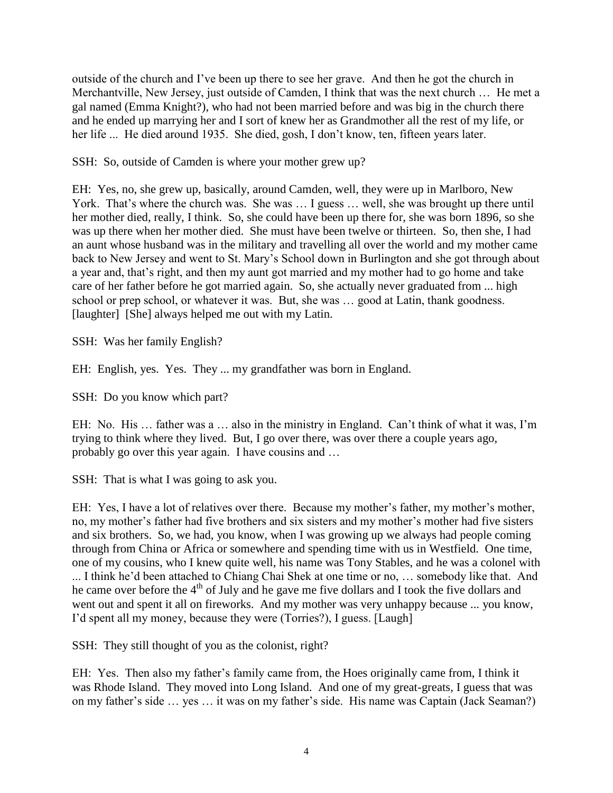outside of the church and I've been up there to see her grave. And then he got the church in Merchantville, New Jersey, just outside of Camden, I think that was the next church … He met a gal named (Emma Knight?), who had not been married before and was big in the church there and he ended up marrying her and I sort of knew her as Grandmother all the rest of my life, or her life ... He died around 1935. She died, gosh, I don't know, ten, fifteen years later.

SSH: So, outside of Camden is where your mother grew up?

EH: Yes, no, she grew up, basically, around Camden, well, they were up in Marlboro, New York. That's where the church was. She was ... I guess ... well, she was brought up there until her mother died, really, I think. So, she could have been up there for, she was born 1896, so she was up there when her mother died. She must have been twelve or thirteen. So, then she, I had an aunt whose husband was in the military and travelling all over the world and my mother came back to New Jersey and went to St. Mary's School down in Burlington and she got through about a year and, that's right, and then my aunt got married and my mother had to go home and take care of her father before he got married again. So, she actually never graduated from ... high school or prep school, or whatever it was. But, she was … good at Latin, thank goodness. [laughter] [She] always helped me out with my Latin.

SSH: Was her family English?

EH: English, yes. Yes. They ... my grandfather was born in England.

SSH: Do you know which part?

EH: No. His … father was a … also in the ministry in England. Can't think of what it was, I'm trying to think where they lived. But, I go over there, was over there a couple years ago, probably go over this year again. I have cousins and …

SSH: That is what I was going to ask you.

EH: Yes, I have a lot of relatives over there. Because my mother's father, my mother's mother, no, my mother's father had five brothers and six sisters and my mother's mother had five sisters and six brothers. So, we had, you know, when I was growing up we always had people coming through from China or Africa or somewhere and spending time with us in Westfield. One time, one of my cousins, who I knew quite well, his name was Tony Stables, and he was a colonel with ... I think he'd been attached to Chiang Chai Shek at one time or no, … somebody like that. And he came over before the  $4<sup>th</sup>$  of July and he gave me five dollars and I took the five dollars and went out and spent it all on fireworks. And my mother was very unhappy because ... you know, I'd spent all my money, because they were (Torries?), I guess. [Laugh]

SSH: They still thought of you as the colonist, right?

EH: Yes. Then also my father's family came from, the Hoes originally came from, I think it was Rhode Island. They moved into Long Island. And one of my great-greats, I guess that was on my father's side … yes … it was on my father's side. His name was Captain (Jack Seaman?)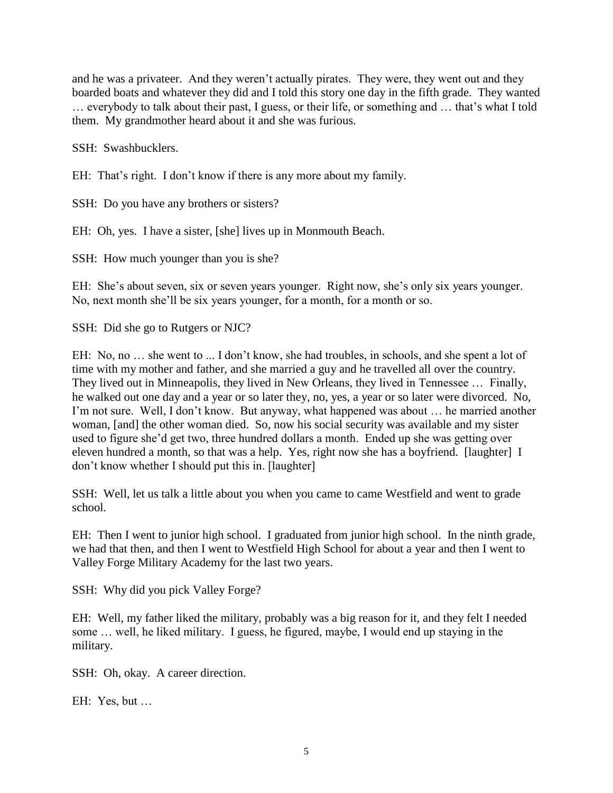and he was a privateer. And they weren't actually pirates. They were, they went out and they boarded boats and whatever they did and I told this story one day in the fifth grade. They wanted … everybody to talk about their past, I guess, or their life, or something and … that's what I told them. My grandmother heard about it and she was furious.

SSH: Swashbucklers.

EH: That's right. I don't know if there is any more about my family.

SSH: Do you have any brothers or sisters?

EH: Oh, yes. I have a sister, [she] lives up in Monmouth Beach.

SSH: How much younger than you is she?

EH: She's about seven, six or seven years younger. Right now, she's only six years younger. No, next month she'll be six years younger, for a month, for a month or so.

SSH: Did she go to Rutgers or NJC?

EH: No, no ... she went to ... I don't know, she had troubles, in schools, and she spent a lot of time with my mother and father, and she married a guy and he travelled all over the country. They lived out in Minneapolis, they lived in New Orleans, they lived in Tennessee … Finally, he walked out one day and a year or so later they, no, yes, a year or so later were divorced. No, I'm not sure. Well, I don't know. But anyway, what happened was about … he married another woman, [and] the other woman died. So, now his social security was available and my sister used to figure she'd get two, three hundred dollars a month. Ended up she was getting over eleven hundred a month, so that was a help. Yes, right now she has a boyfriend. [laughter] I don't know whether I should put this in. [laughter]

SSH: Well, let us talk a little about you when you came to came Westfield and went to grade school.

EH: Then I went to junior high school. I graduated from junior high school. In the ninth grade, we had that then, and then I went to Westfield High School for about a year and then I went to Valley Forge Military Academy for the last two years.

SSH: Why did you pick Valley Forge?

EH: Well, my father liked the military, probably was a big reason for it, and they felt I needed some … well, he liked military. I guess, he figured, maybe, I would end up staying in the military.

SSH: Oh, okay. A career direction.

EH: Yes, but …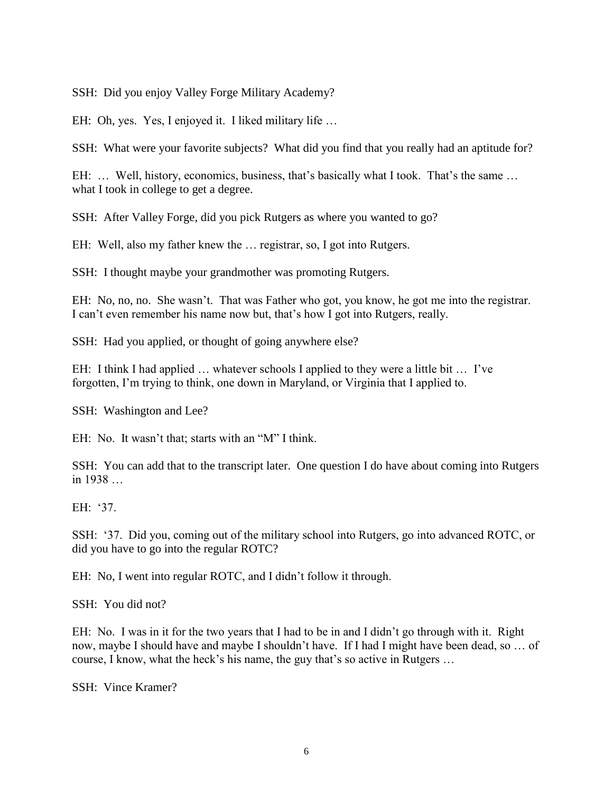SSH: Did you enjoy Valley Forge Military Academy?

EH: Oh, yes. Yes, I enjoyed it. I liked military life …

SSH: What were your favorite subjects? What did you find that you really had an aptitude for?

EH: ... Well, history, economics, business, that's basically what I took. That's the same ... what I took in college to get a degree.

SSH: After Valley Forge, did you pick Rutgers as where you wanted to go?

EH: Well, also my father knew the … registrar, so, I got into Rutgers.

SSH: I thought maybe your grandmother was promoting Rutgers.

EH: No, no, no. She wasn't. That was Father who got, you know, he got me into the registrar. I can't even remember his name now but, that's how I got into Rutgers, really.

SSH: Had you applied, or thought of going anywhere else?

EH: I think I had applied … whatever schools I applied to they were a little bit … I've forgotten, I'm trying to think, one down in Maryland, or Virginia that I applied to.

SSH: Washington and Lee?

EH: No. It wasn't that; starts with an "M" I think.

SSH: You can add that to the transcript later. One question I do have about coming into Rutgers in 1938 …

EH: '37.

SSH: '37. Did you, coming out of the military school into Rutgers, go into advanced ROTC, or did you have to go into the regular ROTC?

EH: No, I went into regular ROTC, and I didn't follow it through.

SSH: You did not?

EH: No. I was in it for the two years that I had to be in and I didn't go through with it. Right now, maybe I should have and maybe I shouldn't have. If I had I might have been dead, so … of course, I know, what the heck's his name, the guy that's so active in Rutgers …

SSH: Vince Kramer?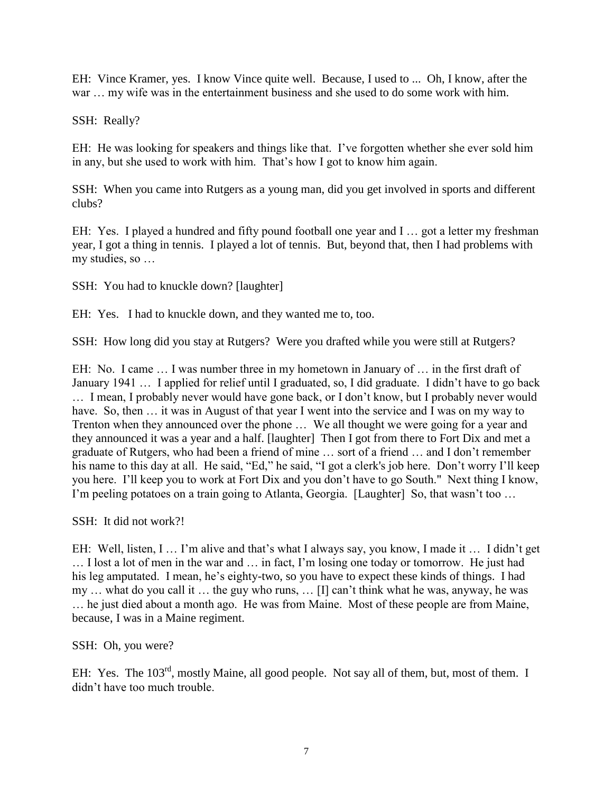EH: Vince Kramer, yes. I know Vince quite well. Because, I used to ... Oh, I know, after the war … my wife was in the entertainment business and she used to do some work with him.

SSH: Really?

EH: He was looking for speakers and things like that. I've forgotten whether she ever sold him in any, but she used to work with him. That's how I got to know him again.

SSH: When you came into Rutgers as a young man, did you get involved in sports and different clubs?

EH: Yes. I played a hundred and fifty pound football one year and I … got a letter my freshman year, I got a thing in tennis. I played a lot of tennis. But, beyond that, then I had problems with my studies, so …

SSH: You had to knuckle down? [laughter]

EH: Yes. I had to knuckle down, and they wanted me to, too.

SSH: How long did you stay at Rutgers? Were you drafted while you were still at Rutgers?

EH: No. I came … I was number three in my hometown in January of … in the first draft of January 1941 … I applied for relief until I graduated, so, I did graduate. I didn't have to go back … I mean, I probably never would have gone back, or I don't know, but I probably never would have. So, then  $\dots$  it was in August of that year I went into the service and I was on my way to Trenton when they announced over the phone … We all thought we were going for a year and they announced it was a year and a half. [laughter] Then I got from there to Fort Dix and met a graduate of Rutgers, who had been a friend of mine … sort of a friend … and I don't remember his name to this day at all. He said, "Ed," he said, "I got a clerk's job here. Don't worry I'll keep you here. I'll keep you to work at Fort Dix and you don't have to go South." Next thing I know, I'm peeling potatoes on a train going to Atlanta, Georgia. [Laughter] So, that wasn't too …

SSH: It did not work?!

EH: Well, listen, I … I'm alive and that's what I always say, you know, I made it … I didn't get … I lost a lot of men in the war and … in fact, I'm losing one today or tomorrow. He just had his leg amputated. I mean, he's eighty-two, so you have to expect these kinds of things. I had my … what do you call it … the guy who runs, … [I] can't think what he was, anyway, he was … he just died about a month ago. He was from Maine. Most of these people are from Maine, because, I was in a Maine regiment.

SSH: Oh, you were?

EH: Yes. The 103<sup>rd</sup>, mostly Maine, all good people. Not say all of them, but, most of them. I didn't have too much trouble.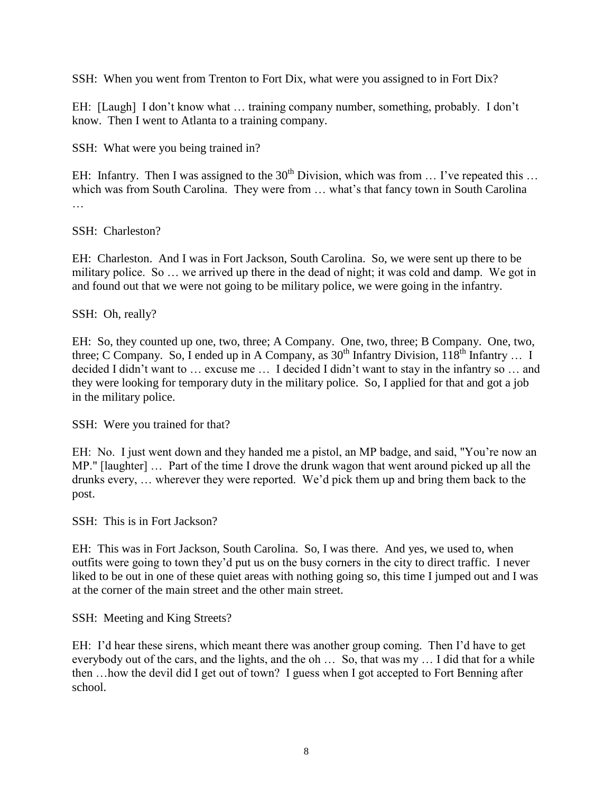SSH: When you went from Trenton to Fort Dix, what were you assigned to in Fort Dix?

EH: [Laugh] I don't know what … training company number, something, probably. I don't know. Then I went to Atlanta to a training company.

SSH: What were you being trained in?

EH: Infantry. Then I was assigned to the  $30<sup>th</sup>$  Division, which was from  $\dots$  I've repeated this  $\dots$ which was from South Carolina. They were from ... what's that fancy town in South Carolina …

SSH: Charleston?

EH: Charleston. And I was in Fort Jackson, South Carolina. So, we were sent up there to be military police. So … we arrived up there in the dead of night; it was cold and damp. We got in and found out that we were not going to be military police, we were going in the infantry.

SSH: Oh, really?

EH: So, they counted up one, two, three; A Company. One, two, three; B Company. One, two, three; C Company. So, I ended up in A Company, as  $30^{th}$  Infantry Division,  $118^{th}$  Infantry ... I decided I didn't want to … excuse me … I decided I didn't want to stay in the infantry so … and they were looking for temporary duty in the military police. So, I applied for that and got a job in the military police.

SSH: Were you trained for that?

EH: No. I just went down and they handed me a pistol, an MP badge, and said, "You're now an MP." [laughter] … Part of the time I drove the drunk wagon that went around picked up all the drunks every, … wherever they were reported. We'd pick them up and bring them back to the post.

SSH: This is in Fort Jackson?

EH: This was in Fort Jackson, South Carolina. So, I was there. And yes, we used to, when outfits were going to town they'd put us on the busy corners in the city to direct traffic. I never liked to be out in one of these quiet areas with nothing going so, this time I jumped out and I was at the corner of the main street and the other main street.

SSH: Meeting and King Streets?

EH: I'd hear these sirens, which meant there was another group coming. Then I'd have to get everybody out of the cars, and the lights, and the oh ... So, that was my ... I did that for a while then …how the devil did I get out of town? I guess when I got accepted to Fort Benning after school.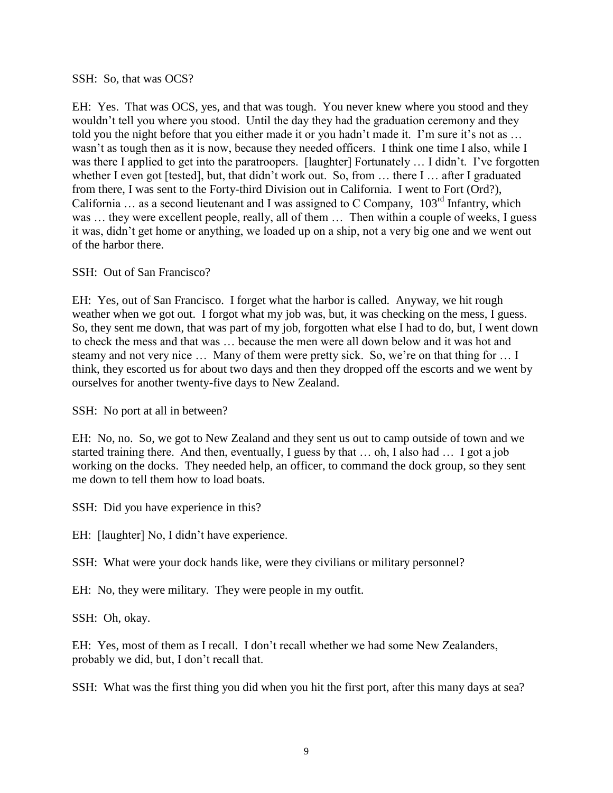SSH: So, that was OCS?

EH: Yes. That was OCS, yes, and that was tough. You never knew where you stood and they wouldn't tell you where you stood. Until the day they had the graduation ceremony and they told you the night before that you either made it or you hadn't made it. I'm sure it's not as … wasn't as tough then as it is now, because they needed officers. I think one time I also, while I was there I applied to get into the paratroopers. [laughter] Fortunately ... I didn't. I've forgotten whether I even got [tested], but, that didn't work out. So, from ... there I ... after I graduated from there, I was sent to the Forty-third Division out in California. I went to Fort (Ord?), California … as a second lieutenant and I was assigned to C Company, 103rd Infantry, which was ... they were excellent people, really, all of them ... Then within a couple of weeks, I guess it was, didn't get home or anything, we loaded up on a ship, not a very big one and we went out of the harbor there.

SSH: Out of San Francisco?

EH: Yes, out of San Francisco. I forget what the harbor is called. Anyway, we hit rough weather when we got out. I forgot what my job was, but, it was checking on the mess, I guess. So, they sent me down, that was part of my job, forgotten what else I had to do, but, I went down to check the mess and that was … because the men were all down below and it was hot and steamy and not very nice … Many of them were pretty sick. So, we're on that thing for … I think, they escorted us for about two days and then they dropped off the escorts and we went by ourselves for another twenty-five days to New Zealand.

SSH: No port at all in between?

EH: No, no. So, we got to New Zealand and they sent us out to camp outside of town and we started training there. And then, eventually, I guess by that … oh, I also had … I got a job working on the docks. They needed help, an officer, to command the dock group, so they sent me down to tell them how to load boats.

SSH: Did you have experience in this?

EH: [laughter] No, I didn't have experience.

SSH: What were your dock hands like, were they civilians or military personnel?

EH: No, they were military. They were people in my outfit.

SSH: Oh, okay.

EH: Yes, most of them as I recall. I don't recall whether we had some New Zealanders, probably we did, but, I don't recall that.

SSH: What was the first thing you did when you hit the first port, after this many days at sea?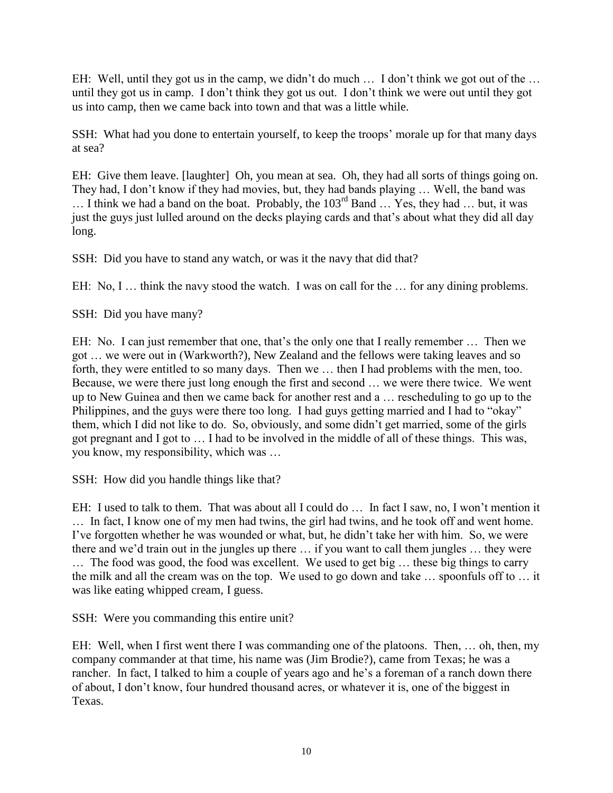EH: Well, until they got us in the camp, we didn't do much ... I don't think we got out of the ... until they got us in camp. I don't think they got us out. I don't think we were out until they got us into camp, then we came back into town and that was a little while.

SSH: What had you done to entertain yourself, to keep the troops' morale up for that many days at sea?

EH: Give them leave. [laughter] Oh, you mean at sea. Oh, they had all sorts of things going on. They had, I don't know if they had movies, but, they had bands playing … Well, the band was  $\ldots$  I think we had a band on the boat. Probably, the  $103^{rd}$  Band  $\ldots$  Yes, they had  $\ldots$  but, it was just the guys just lulled around on the decks playing cards and that's about what they did all day long.

SSH: Did you have to stand any watch, or was it the navy that did that?

EH: No, I ... think the navy stood the watch. I was on call for the ... for any dining problems.

SSH: Did you have many?

EH: No. I can just remember that one, that's the only one that I really remember … Then we got … we were out in (Warkworth?), New Zealand and the fellows were taking leaves and so forth, they were entitled to so many days. Then we … then I had problems with the men, too. Because, we were there just long enough the first and second … we were there twice. We went up to New Guinea and then we came back for another rest and a … rescheduling to go up to the Philippines, and the guys were there too long. I had guys getting married and I had to "okay" them, which I did not like to do. So, obviously, and some didn't get married, some of the girls got pregnant and I got to … I had to be involved in the middle of all of these things. This was, you know, my responsibility, which was …

SSH: How did you handle things like that?

EH: I used to talk to them. That was about all I could do … In fact I saw, no, I won't mention it … In fact, I know one of my men had twins, the girl had twins, and he took off and went home. I've forgotten whether he was wounded or what, but, he didn't take her with him. So, we were there and we'd train out in the jungles up there … if you want to call them jungles … they were … The food was good, the food was excellent. We used to get big … these big things to carry the milk and all the cream was on the top. We used to go down and take … spoonfuls off to … it was like eating whipped cream, I guess.

SSH: Were you commanding this entire unit?

EH: Well, when I first went there I was commanding one of the platoons. Then, … oh, then, my company commander at that time, his name was (Jim Brodie?), came from Texas; he was a rancher. In fact, I talked to him a couple of years ago and he's a foreman of a ranch down there of about, I don't know, four hundred thousand acres, or whatever it is, one of the biggest in Texas.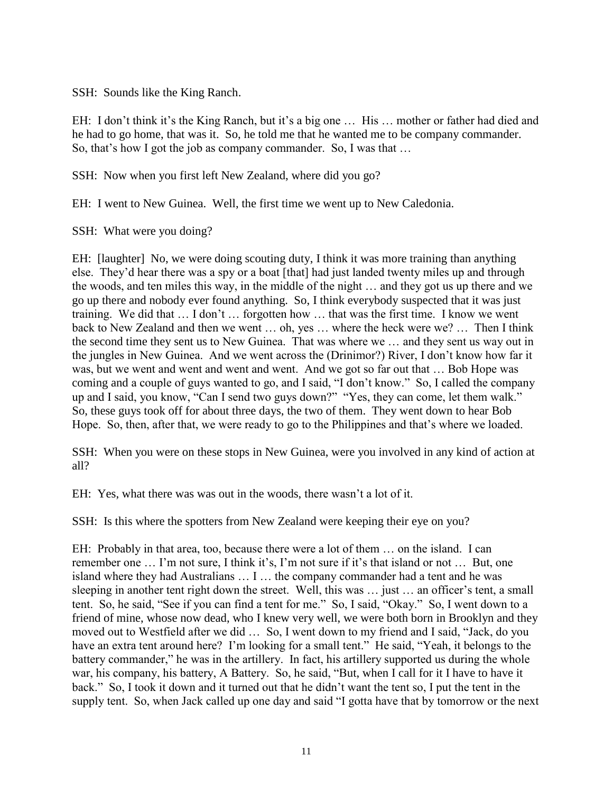SSH: Sounds like the King Ranch.

EH: I don't think it's the King Ranch, but it's a big one ... His ... mother or father had died and he had to go home, that was it. So, he told me that he wanted me to be company commander. So, that's how I got the job as company commander. So, I was that ...

SSH: Now when you first left New Zealand, where did you go?

EH: I went to New Guinea. Well, the first time we went up to New Caledonia.

SSH: What were you doing?

EH: [laughter] No, we were doing scouting duty, I think it was more training than anything else. They'd hear there was a spy or a boat [that] had just landed twenty miles up and through the woods, and ten miles this way, in the middle of the night … and they got us up there and we go up there and nobody ever found anything. So, I think everybody suspected that it was just training. We did that … I don't … forgotten how … that was the first time. I know we went back to New Zealand and then we went … oh, yes … where the heck were we? … Then I think the second time they sent us to New Guinea. That was where we … and they sent us way out in the jungles in New Guinea. And we went across the (Drinimor?) River, I don't know how far it was, but we went and went and went and went. And we got so far out that ... Bob Hope was coming and a couple of guys wanted to go, and I said, "I don't know." So, I called the company up and I said, you know, "Can I send two guys down?" "Yes, they can come, let them walk." So, these guys took off for about three days, the two of them. They went down to hear Bob Hope. So, then, after that, we were ready to go to the Philippines and that's where we loaded.

SSH: When you were on these stops in New Guinea, were you involved in any kind of action at all?

EH: Yes, what there was was out in the woods, there wasn't a lot of it.

SSH: Is this where the spotters from New Zealand were keeping their eye on you?

EH: Probably in that area, too, because there were a lot of them … on the island. I can remember one … I'm not sure, I think it's, I'm not sure if it's that island or not … But, one island where they had Australians … I … the company commander had a tent and he was sleeping in another tent right down the street. Well, this was … just … an officer's tent, a small tent. So, he said, "See if you can find a tent for me." So, I said, "Okay." So, I went down to a friend of mine, whose now dead, who I knew very well, we were both born in Brooklyn and they moved out to Westfield after we did … So, I went down to my friend and I said, "Jack, do you have an extra tent around here? I'm looking for a small tent." He said, "Yeah, it belongs to the battery commander," he was in the artillery. In fact, his artillery supported us during the whole war, his company, his battery, A Battery. So, he said, "But, when I call for it I have to have it back." So, I took it down and it turned out that he didn't want the tent so, I put the tent in the supply tent. So, when Jack called up one day and said "I gotta have that by tomorrow or the next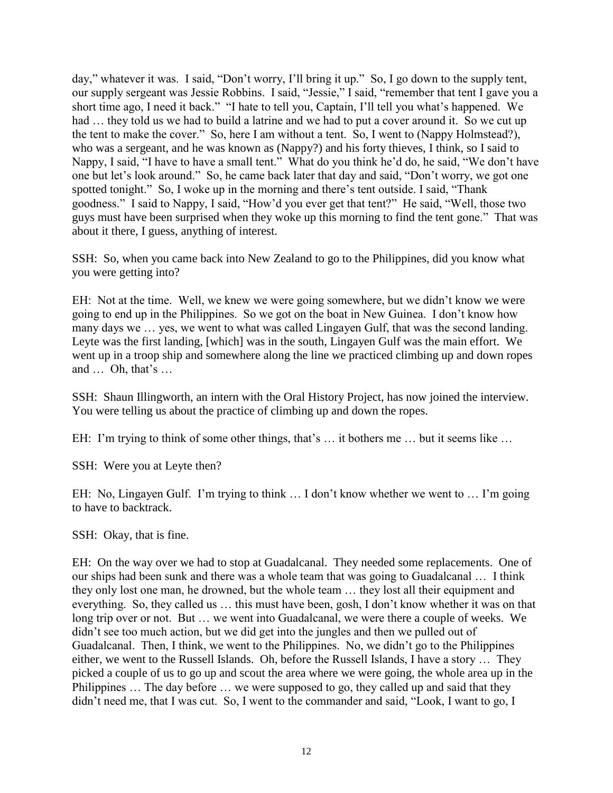day," whatever it was. I said, "Don't worry, I'll bring it up." So, I go down to the supply tent, our supply sergeant was Jessie Robbins. I said, "Jessie," I said, "remember that tent I gave you a short time ago, I need it back." "I hate to tell you, Captain, I'll tell you what's happened. We had ... they told us we had to build a latrine and we had to put a cover around it. So we cut up the tent to make the cover." So, here I am without a tent. So, I went to (Nappy Holmstead?), who was a sergeant, and he was known as (Nappy?) and his forty thieves, I think, so I said to Nappy, I said, "I have to have a small tent." What do you think he'd do, he said, "We don't have one but let's look around." So, he came back later that day and said, "Don't worry, we got one spotted tonight." So, I woke up in the morning and there's tent outside. I said, "Thank goodness." I said to Nappy, I said, "How'd you ever get that tent?" He said, "Well, those two guys must have been surprised when they woke up this morning to find the tent gone." That was about it there, I guess, anything of interest.

SSH: So, when you came back into New Zealand to go to the Philippines, did you know what you were getting into?

EH: Not at the time. Well, we knew we were going somewhere, but we didn't know we were going to end up in the Philippines. So we got on the boat in New Guinea. I don't know how many days we … yes, we went to what was called Lingayen Gulf, that was the second landing. Leyte was the first landing, [which] was in the south, Lingayen Gulf was the main effort. We went up in a troop ship and somewhere along the line we practiced climbing up and down ropes and … Oh, that's …

SSH: Shaun Illingworth, an intern with the Oral History Project, has now joined the interview. You were telling us about the practice of climbing up and down the ropes.

EH: I'm trying to think of some other things, that's … it bothers me … but it seems like …

SSH: Were you at Leyte then?

EH: No, Lingayen Gulf. I'm trying to think … I don't know whether we went to … I'm going to have to backtrack.

SSH: Okay, that is fine.

EH: On the way over we had to stop at Guadalcanal. They needed some replacements. One of our ships had been sunk and there was a whole team that was going to Guadalcanal … I think they only lost one man, he drowned, but the whole team … they lost all their equipment and everything. So, they called us … this must have been, gosh, I don't know whether it was on that long trip over or not. But … we went into Guadalcanal, we were there a couple of weeks. We didn't see too much action, but we did get into the jungles and then we pulled out of Guadalcanal. Then, I think, we went to the Philippines. No, we didn't go to the Philippines either, we went to the Russell Islands. Oh, before the Russell Islands, I have a story … They picked a couple of us to go up and scout the area where we were going, the whole area up in the Philippines … The day before … we were supposed to go, they called up and said that they didn't need me, that I was cut. So, I went to the commander and said, "Look, I want to go, I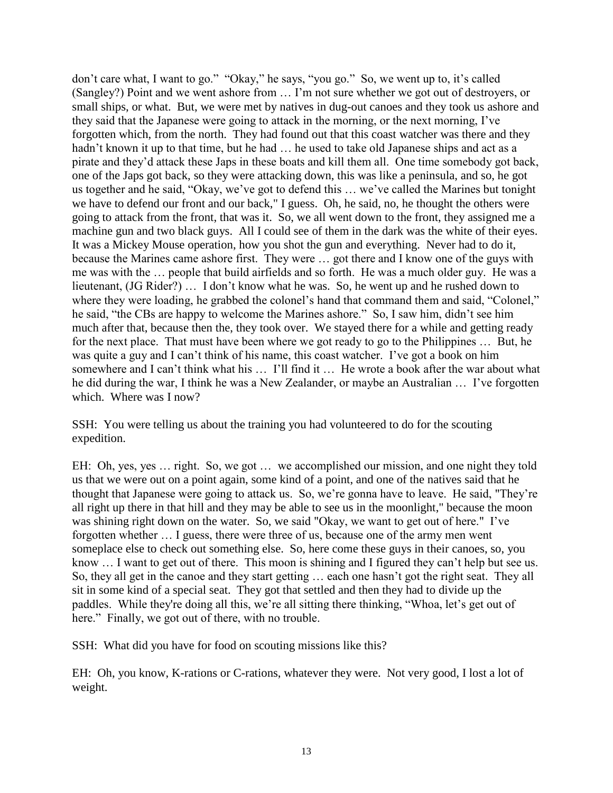don't care what, I want to go." "Okay," he says, "you go." So, we went up to, it's called (Sangley?) Point and we went ashore from … I'm not sure whether we got out of destroyers, or small ships, or what. But, we were met by natives in dug-out canoes and they took us ashore and they said that the Japanese were going to attack in the morning, or the next morning, I've forgotten which, from the north. They had found out that this coast watcher was there and they hadn't known it up to that time, but he had ... he used to take old Japanese ships and act as a pirate and they'd attack these Japs in these boats and kill them all. One time somebody got back, one of the Japs got back, so they were attacking down, this was like a peninsula, and so, he got us together and he said, "Okay, we've got to defend this … we've called the Marines but tonight we have to defend our front and our back," I guess. Oh, he said, no, he thought the others were going to attack from the front, that was it. So, we all went down to the front, they assigned me a machine gun and two black guys. All I could see of them in the dark was the white of their eyes. It was a Mickey Mouse operation, how you shot the gun and everything. Never had to do it, because the Marines came ashore first. They were … got there and I know one of the guys with me was with the … people that build airfields and so forth. He was a much older guy. He was a lieutenant, (JG Rider?) … I don't know what he was. So, he went up and he rushed down to where they were loading, he grabbed the colonel's hand that command them and said, "Colonel," he said, "the CBs are happy to welcome the Marines ashore." So, I saw him, didn't see him much after that, because then the, they took over. We stayed there for a while and getting ready for the next place. That must have been where we got ready to go to the Philippines … But, he was quite a guy and I can't think of his name, this coast watcher. I've got a book on him somewhere and I can't think what his … I'll find it … He wrote a book after the war about what he did during the war, I think he was a New Zealander, or maybe an Australian … I've forgotten which. Where was I now?

SSH: You were telling us about the training you had volunteered to do for the scouting expedition.

EH: Oh, yes, yes … right. So, we got … we accomplished our mission, and one night they told us that we were out on a point again, some kind of a point, and one of the natives said that he thought that Japanese were going to attack us. So, we're gonna have to leave. He said, "They're all right up there in that hill and they may be able to see us in the moonlight," because the moon was shining right down on the water. So, we said "Okay, we want to get out of here." I've forgotten whether … I guess, there were three of us, because one of the army men went someplace else to check out something else. So, here come these guys in their canoes, so, you know … I want to get out of there. This moon is shining and I figured they can't help but see us. So, they all get in the canoe and they start getting … each one hasn't got the right seat. They all sit in some kind of a special seat. They got that settled and then they had to divide up the paddles. While they're doing all this, we're all sitting there thinking, "Whoa, let's get out of here." Finally, we got out of there, with no trouble.

SSH: What did you have for food on scouting missions like this?

EH: Oh, you know, K-rations or C-rations, whatever they were. Not very good, I lost a lot of weight.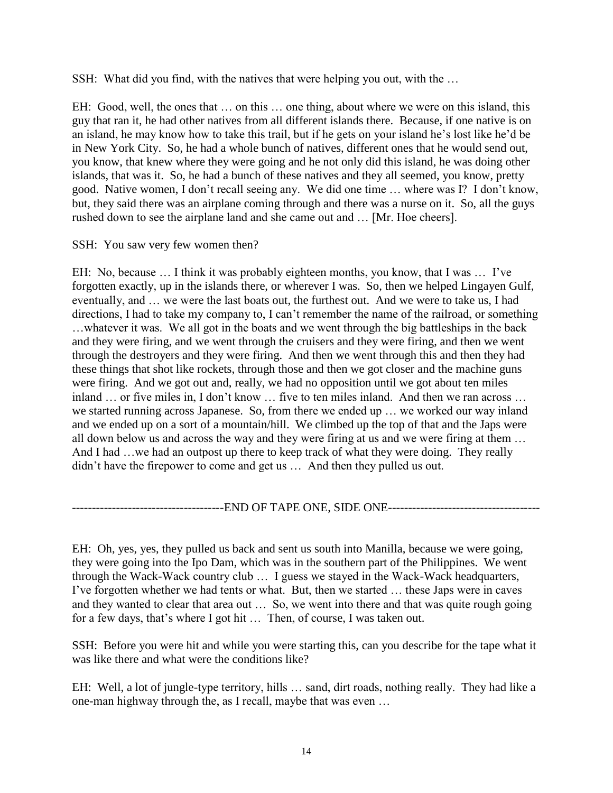SSH: What did you find, with the natives that were helping you out, with the …

EH: Good, well, the ones that … on this … one thing, about where we were on this island, this guy that ran it, he had other natives from all different islands there. Because, if one native is on an island, he may know how to take this trail, but if he gets on your island he's lost like he'd be in New York City. So, he had a whole bunch of natives, different ones that he would send out, you know, that knew where they were going and he not only did this island, he was doing other islands, that was it. So, he had a bunch of these natives and they all seemed, you know, pretty good. Native women, I don't recall seeing any. We did one time … where was I? I don't know, but, they said there was an airplane coming through and there was a nurse on it. So, all the guys rushed down to see the airplane land and she came out and … [Mr. Hoe cheers].

#### SSH: You saw very few women then?

EH: No, because … I think it was probably eighteen months, you know, that I was … I've forgotten exactly, up in the islands there, or wherever I was. So, then we helped Lingayen Gulf, eventually, and … we were the last boats out, the furthest out. And we were to take us, I had directions, I had to take my company to, I can't remember the name of the railroad, or something …whatever it was. We all got in the boats and we went through the big battleships in the back and they were firing, and we went through the cruisers and they were firing, and then we went through the destroyers and they were firing. And then we went through this and then they had these things that shot like rockets, through those and then we got closer and the machine guns were firing. And we got out and, really, we had no opposition until we got about ten miles inland … or five miles in, I don't know … five to ten miles inland. And then we ran across … we started running across Japanese. So, from there we ended up … we worked our way inland and we ended up on a sort of a mountain/hill. We climbed up the top of that and the Japs were all down below us and across the way and they were firing at us and we were firing at them … And I had ... we had an outpost up there to keep track of what they were doing. They really didn't have the firepower to come and get us … And then they pulled us out.

#### ---------------------------END OF TAPE ONE, SIDE ONE----------------------------------

EH: Oh, yes, yes, they pulled us back and sent us south into Manilla, because we were going, they were going into the Ipo Dam, which was in the southern part of the Philippines. We went through the Wack-Wack country club … I guess we stayed in the Wack-Wack headquarters, I've forgotten whether we had tents or what. But, then we started … these Japs were in caves and they wanted to clear that area out … So, we went into there and that was quite rough going for a few days, that's where I got hit … Then, of course, I was taken out.

SSH: Before you were hit and while you were starting this, can you describe for the tape what it was like there and what were the conditions like?

EH: Well, a lot of jungle-type territory, hills … sand, dirt roads, nothing really. They had like a one-man highway through the, as I recall, maybe that was even …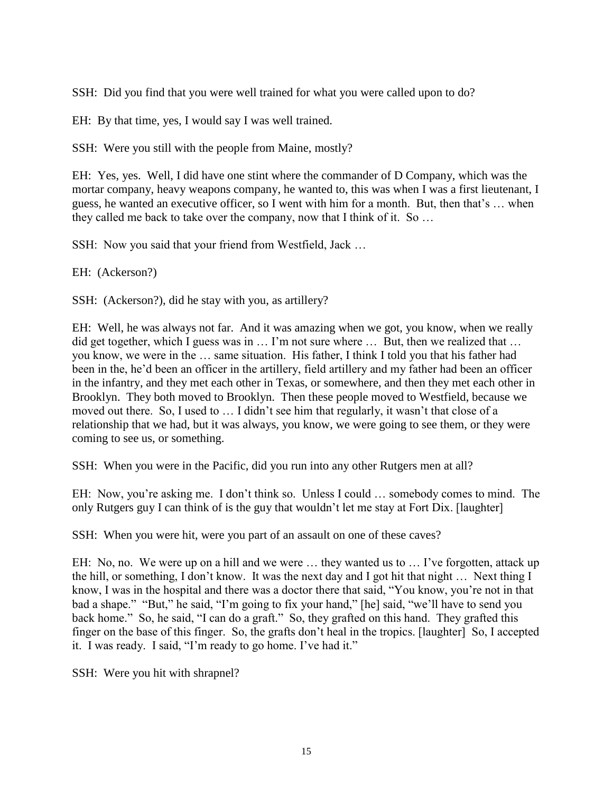SSH: Did you find that you were well trained for what you were called upon to do?

EH: By that time, yes, I would say I was well trained.

SSH: Were you still with the people from Maine, mostly?

EH: Yes, yes. Well, I did have one stint where the commander of D Company, which was the mortar company, heavy weapons company, he wanted to, this was when I was a first lieutenant, I guess, he wanted an executive officer, so I went with him for a month. But, then that's … when they called me back to take over the company, now that I think of it. So …

SSH: Now you said that your friend from Westfield, Jack …

EH: (Ackerson?)

SSH: (Ackerson?), did he stay with you, as artillery?

EH: Well, he was always not far. And it was amazing when we got, you know, when we really did get together, which I guess was in … I'm not sure where … But, then we realized that … you know, we were in the … same situation. His father, I think I told you that his father had been in the, he'd been an officer in the artillery, field artillery and my father had been an officer in the infantry, and they met each other in Texas, or somewhere, and then they met each other in Brooklyn. They both moved to Brooklyn. Then these people moved to Westfield, because we moved out there. So, I used to … I didn't see him that regularly, it wasn't that close of a relationship that we had, but it was always, you know, we were going to see them, or they were coming to see us, or something.

SSH: When you were in the Pacific, did you run into any other Rutgers men at all?

EH: Now, you're asking me. I don't think so. Unless I could … somebody comes to mind. The only Rutgers guy I can think of is the guy that wouldn't let me stay at Fort Dix. [laughter]

SSH: When you were hit, were you part of an assault on one of these caves?

EH: No, no. We were up on a hill and we were … they wanted us to … I've forgotten, attack up the hill, or something, I don't know. It was the next day and I got hit that night … Next thing I know, I was in the hospital and there was a doctor there that said, "You know, you're not in that bad a shape." "But," he said, "I'm going to fix your hand," [he] said, "we'll have to send you back home." So, he said, "I can do a graft." So, they grafted on this hand. They grafted this finger on the base of this finger. So, the grafts don't heal in the tropics. [laughter] So, I accepted it. I was ready. I said, "I'm ready to go home. I've had it."

SSH: Were you hit with shrapnel?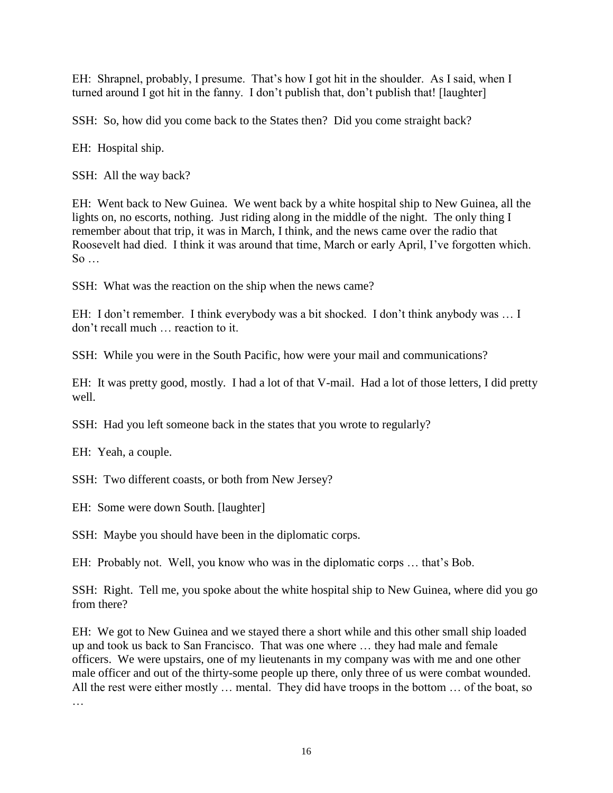EH: Shrapnel, probably, I presume. That's how I got hit in the shoulder. As I said, when I turned around I got hit in the fanny. I don't publish that, don't publish that! [laughter]

SSH: So, how did you come back to the States then? Did you come straight back?

EH: Hospital ship.

SSH: All the way back?

EH: Went back to New Guinea. We went back by a white hospital ship to New Guinea, all the lights on, no escorts, nothing. Just riding along in the middle of the night. The only thing I remember about that trip, it was in March, I think, and the news came over the radio that Roosevelt had died. I think it was around that time, March or early April, I've forgotten which.  $So \dots$ 

SSH: What was the reaction on the ship when the news came?

EH: I don't remember. I think everybody was a bit shocked. I don't think anybody was … I don't recall much … reaction to it.

SSH: While you were in the South Pacific, how were your mail and communications?

EH: It was pretty good, mostly. I had a lot of that V-mail. Had a lot of those letters, I did pretty well.

SSH: Had you left someone back in the states that you wrote to regularly?

EH: Yeah, a couple.

SSH: Two different coasts, or both from New Jersey?

EH: Some were down South. [laughter]

SSH: Maybe you should have been in the diplomatic corps.

EH: Probably not. Well, you know who was in the diplomatic corps … that's Bob.

SSH: Right. Tell me, you spoke about the white hospital ship to New Guinea, where did you go from there?

EH: We got to New Guinea and we stayed there a short while and this other small ship loaded up and took us back to San Francisco. That was one where … they had male and female officers. We were upstairs, one of my lieutenants in my company was with me and one other male officer and out of the thirty-some people up there, only three of us were combat wounded. All the rest were either mostly … mental. They did have troops in the bottom … of the boat, so

…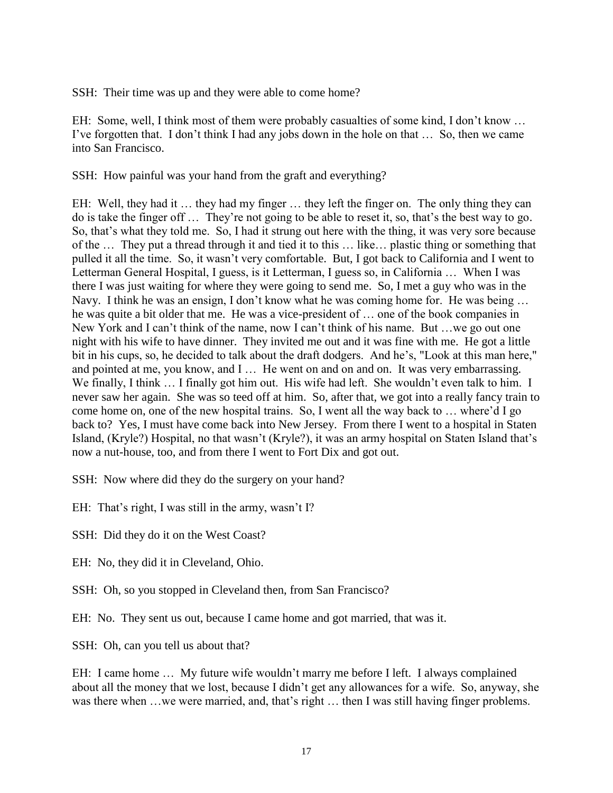SSH: Their time was up and they were able to come home?

EH: Some, well, I think most of them were probably casualties of some kind, I don't know … I've forgotten that. I don't think I had any jobs down in the hole on that … So, then we came into San Francisco.

SSH: How painful was your hand from the graft and everything?

EH: Well, they had it … they had my finger … they left the finger on. The only thing they can do is take the finger off … They're not going to be able to reset it, so, that's the best way to go. So, that's what they told me. So, I had it strung out here with the thing, it was very sore because of the … They put a thread through it and tied it to this … like… plastic thing or something that pulled it all the time. So, it wasn't very comfortable. But, I got back to California and I went to Letterman General Hospital, I guess, is it Letterman, I guess so, in California … When I was there I was just waiting for where they were going to send me. So, I met a guy who was in the Navy. I think he was an ensign, I don't know what he was coming home for. He was being … he was quite a bit older that me. He was a vice-president of … one of the book companies in New York and I can't think of the name, now I can't think of his name. But …we go out one night with his wife to have dinner. They invited me out and it was fine with me. He got a little bit in his cups, so, he decided to talk about the draft dodgers. And he's, "Look at this man here," and pointed at me, you know, and I ... He went on and on and on. It was very embarrassing. We finally, I think ... I finally got him out. His wife had left. She wouldn't even talk to him. I never saw her again. She was so teed off at him. So, after that, we got into a really fancy train to come home on, one of the new hospital trains. So, I went all the way back to … where'd I go back to? Yes, I must have come back into New Jersey. From there I went to a hospital in Staten Island, (Kryle?) Hospital, no that wasn't (Kryle?), it was an army hospital on Staten Island that's now a nut-house, too, and from there I went to Fort Dix and got out.

SSH: Now where did they do the surgery on your hand?

EH: That's right, I was still in the army, wasn't I?

SSH: Did they do it on the West Coast?

EH: No, they did it in Cleveland, Ohio.

SSH: Oh, so you stopped in Cleveland then, from San Francisco?

EH: No. They sent us out, because I came home and got married, that was it.

SSH: Oh, can you tell us about that?

EH: I came home … My future wife wouldn't marry me before I left. I always complained about all the money that we lost, because I didn't get any allowances for a wife. So, anyway, she was there when …we were married, and, that's right … then I was still having finger problems.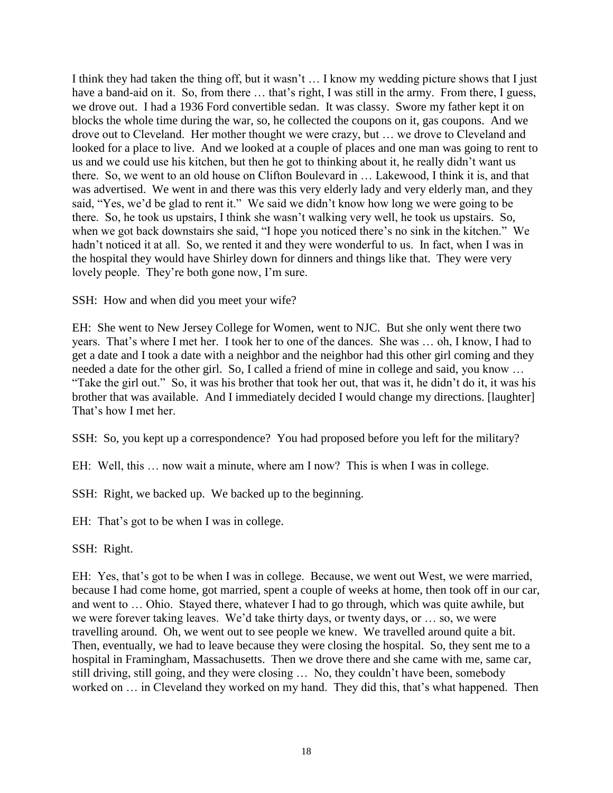I think they had taken the thing off, but it wasn't … I know my wedding picture shows that I just have a band-aid on it. So, from there ... that's right, I was still in the army. From there, I guess, we drove out. I had a 1936 Ford convertible sedan. It was classy. Swore my father kept it on blocks the whole time during the war, so, he collected the coupons on it, gas coupons. And we drove out to Cleveland. Her mother thought we were crazy, but … we drove to Cleveland and looked for a place to live. And we looked at a couple of places and one man was going to rent to us and we could use his kitchen, but then he got to thinking about it, he really didn't want us there. So, we went to an old house on Clifton Boulevard in … Lakewood, I think it is, and that was advertised. We went in and there was this very elderly lady and very elderly man, and they said, "Yes, we'd be glad to rent it." We said we didn't know how long we were going to be there. So, he took us upstairs, I think she wasn't walking very well, he took us upstairs. So, when we got back downstairs she said, "I hope you noticed there's no sink in the kitchen." We hadn't noticed it at all. So, we rented it and they were wonderful to us. In fact, when I was in the hospital they would have Shirley down for dinners and things like that. They were very lovely people. They're both gone now, I'm sure.

SSH: How and when did you meet your wife?

EH: She went to New Jersey College for Women, went to NJC. But she only went there two years. That's where I met her. I took her to one of the dances. She was … oh, I know, I had to get a date and I took a date with a neighbor and the neighbor had this other girl coming and they needed a date for the other girl. So, I called a friend of mine in college and said, you know … "Take the girl out." So, it was his brother that took her out, that was it, he didn't do it, it was his brother that was available. And I immediately decided I would change my directions. [laughter] That's how I met her.

SSH: So, you kept up a correspondence? You had proposed before you left for the military?

EH: Well, this … now wait a minute, where am I now? This is when I was in college.

SSH: Right, we backed up. We backed up to the beginning.

EH: That's got to be when I was in college.

SSH: Right.

EH: Yes, that's got to be when I was in college. Because, we went out West, we were married, because I had come home, got married, spent a couple of weeks at home, then took off in our car, and went to … Ohio. Stayed there, whatever I had to go through, which was quite awhile, but we were forever taking leaves. We'd take thirty days, or twenty days, or … so, we were travelling around. Oh, we went out to see people we knew. We travelled around quite a bit. Then, eventually, we had to leave because they were closing the hospital. So, they sent me to a hospital in Framingham, Massachusetts. Then we drove there and she came with me, same car, still driving, still going, and they were closing … No, they couldn't have been, somebody worked on … in Cleveland they worked on my hand. They did this, that's what happened. Then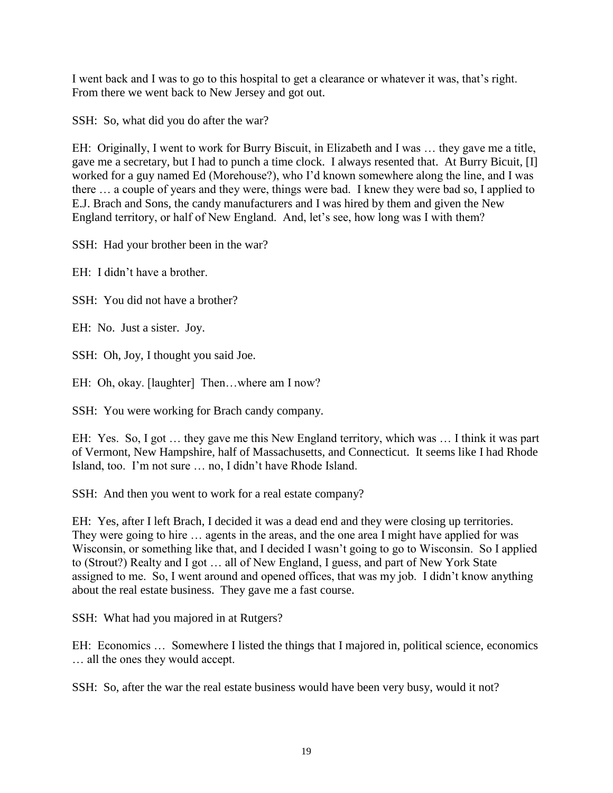I went back and I was to go to this hospital to get a clearance or whatever it was, that's right. From there we went back to New Jersey and got out.

SSH: So, what did you do after the war?

EH: Originally, I went to work for Burry Biscuit, in Elizabeth and I was … they gave me a title, gave me a secretary, but I had to punch a time clock. I always resented that. At Burry Bicuit, [I] worked for a guy named Ed (Morehouse?), who I'd known somewhere along the line, and I was there … a couple of years and they were, things were bad. I knew they were bad so, I applied to E.J. Brach and Sons, the candy manufacturers and I was hired by them and given the New England territory, or half of New England. And, let's see, how long was I with them?

SSH: Had your brother been in the war?

 $EH: I didn't have a brother.$ 

SSH: You did not have a brother?

EH: No. Just a sister. Joy.

SSH: Oh, Joy, I thought you said Joe.

EH: Oh, okay. [laughter] Then...where am I now?

SSH: You were working for Brach candy company.

EH: Yes. So, I got … they gave me this New England territory, which was … I think it was part of Vermont, New Hampshire, half of Massachusetts, and Connecticut. It seems like I had Rhode Island, too. I'm not sure … no, I didn't have Rhode Island.

SSH: And then you went to work for a real estate company?

EH: Yes, after I left Brach, I decided it was a dead end and they were closing up territories. They were going to hire … agents in the areas, and the one area I might have applied for was Wisconsin, or something like that, and I decided I wasn't going to go to Wisconsin. So I applied to (Strout?) Realty and I got … all of New England, I guess, and part of New York State assigned to me. So, I went around and opened offices, that was my job. I didn't know anything about the real estate business. They gave me a fast course.

SSH: What had you majored in at Rutgers?

EH: Economics … Somewhere I listed the things that I majored in, political science, economics … all the ones they would accept.

SSH: So, after the war the real estate business would have been very busy, would it not?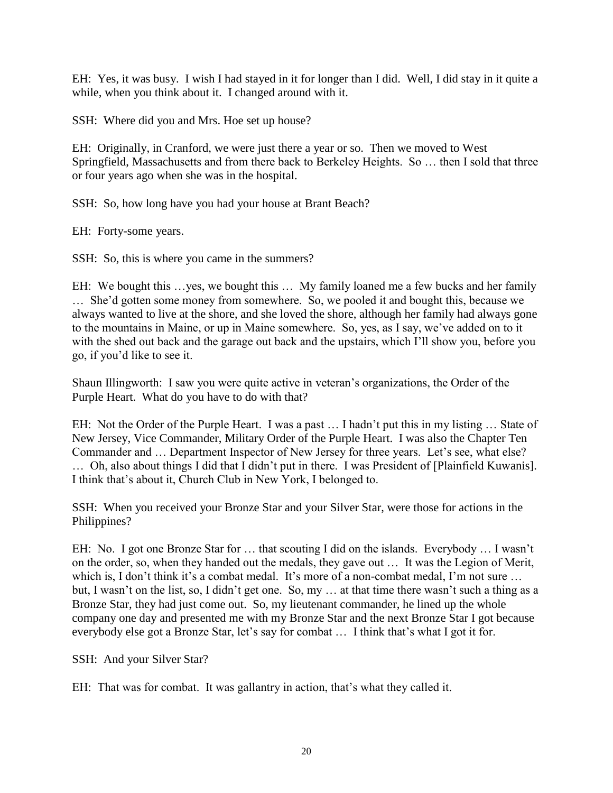EH: Yes, it was busy. I wish I had stayed in it for longer than I did. Well, I did stay in it quite a while, when you think about it. I changed around with it.

SSH: Where did you and Mrs. Hoe set up house?

EH: Originally, in Cranford, we were just there a year or so. Then we moved to West Springfield, Massachusetts and from there back to Berkeley Heights. So … then I sold that three or four years ago when she was in the hospital.

SSH: So, how long have you had your house at Brant Beach?

EH: Forty-some years.

SSH: So, this is where you came in the summers?

EH: We bought this …yes, we bought this … My family loaned me a few bucks and her family … She'd gotten some money from somewhere. So, we pooled it and bought this, because we always wanted to live at the shore, and she loved the shore, although her family had always gone to the mountains in Maine, or up in Maine somewhere. So, yes, as I say, we've added on to it with the shed out back and the garage out back and the upstairs, which I'll show you, before you go, if you'd like to see it.

Shaun Illingworth: I saw you were quite active in veteran's organizations, the Order of the Purple Heart. What do you have to do with that?

EH: Not the Order of the Purple Heart. I was a past … I hadn't put this in my listing … State of New Jersey, Vice Commander, Military Order of the Purple Heart. I was also the Chapter Ten Commander and … Department Inspector of New Jersey for three years. Let's see, what else? … Oh, also about things I did that I didn't put in there. I was President of [Plainfield Kuwanis]. I think that's about it, Church Club in New York, I belonged to.

SSH: When you received your Bronze Star and your Silver Star, were those for actions in the Philippines?

EH: No. I got one Bronze Star for … that scouting I did on the islands. Everybody … I wasn't on the order, so, when they handed out the medals, they gave out … It was the Legion of Merit, which is, I don't think it's a combat medal. It's more of a non-combat medal, I'm not sure ... but, I wasn't on the list, so, I didn't get one. So, my … at that time there wasn't such a thing as a Bronze Star, they had just come out. So, my lieutenant commander, he lined up the whole company one day and presented me with my Bronze Star and the next Bronze Star I got because everybody else got a Bronze Star, let's say for combat … I think that's what I got it for.

SSH: And your Silver Star?

EH: That was for combat. It was gallantry in action, that's what they called it.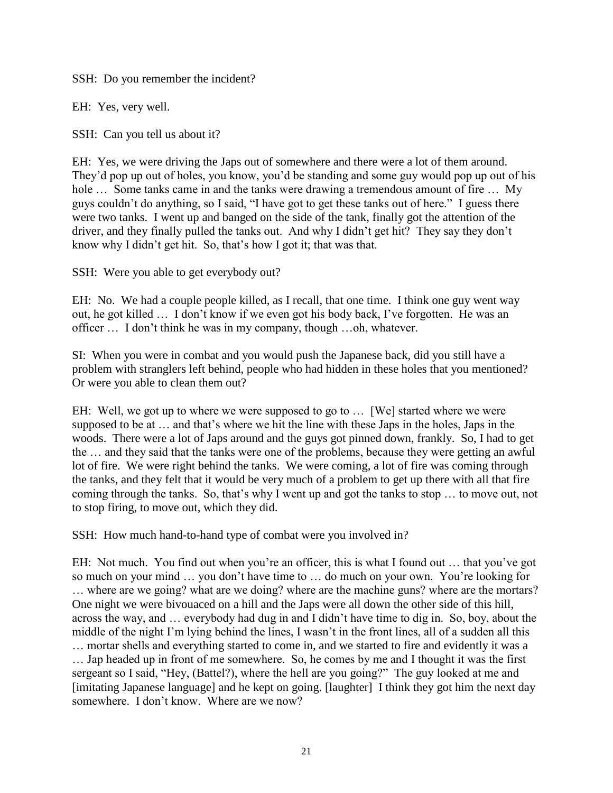SSH: Do you remember the incident?

EH: Yes, very well.

SSH: Can you tell us about it?

EH: Yes, we were driving the Japs out of somewhere and there were a lot of them around. They'd pop up out of holes, you know, you'd be standing and some guy would pop up out of his hole ... Some tanks came in and the tanks were drawing a tremendous amount of fire ... My guys couldn't do anything, so I said, "I have got to get these tanks out of here." I guess there were two tanks. I went up and banged on the side of the tank, finally got the attention of the driver, and they finally pulled the tanks out. And why I didn't get hit? They say they don't know why I didn't get hit. So, that's how I got it; that was that.

SSH: Were you able to get everybody out?

EH: No. We had a couple people killed, as I recall, that one time. I think one guy went way out, he got killed … I don't know if we even got his body back, I've forgotten. He was an officer … I don't think he was in my company, though …oh, whatever.

SI: When you were in combat and you would push the Japanese back, did you still have a problem with stranglers left behind, people who had hidden in these holes that you mentioned? Or were you able to clean them out?

EH: Well, we got up to where we were supposed to go to … [We] started where we were supposed to be at … and that's where we hit the line with these Japs in the holes, Japs in the woods. There were a lot of Japs around and the guys got pinned down, frankly. So, I had to get the … and they said that the tanks were one of the problems, because they were getting an awful lot of fire. We were right behind the tanks. We were coming, a lot of fire was coming through the tanks, and they felt that it would be very much of a problem to get up there with all that fire coming through the tanks. So, that's why I went up and got the tanks to stop … to move out, not to stop firing, to move out, which they did.

SSH: How much hand-to-hand type of combat were you involved in?

EH: Not much. You find out when you're an officer, this is what I found out … that you've got so much on your mind … you don't have time to … do much on your own. You're looking for … where are we going? what are we doing? where are the machine guns? where are the mortars? One night we were bivouaced on a hill and the Japs were all down the other side of this hill, across the way, and … everybody had dug in and I didn't have time to dig in. So, boy, about the middle of the night I'm lying behind the lines, I wasn't in the front lines, all of a sudden all this … mortar shells and everything started to come in, and we started to fire and evidently it was a … Jap headed up in front of me somewhere. So, he comes by me and I thought it was the first sergeant so I said, "Hey, (Battel?), where the hell are you going?" The guy looked at me and [imitating Japanese language] and he kept on going. [laughter] I think they got him the next day somewhere. I don't know. Where are we now?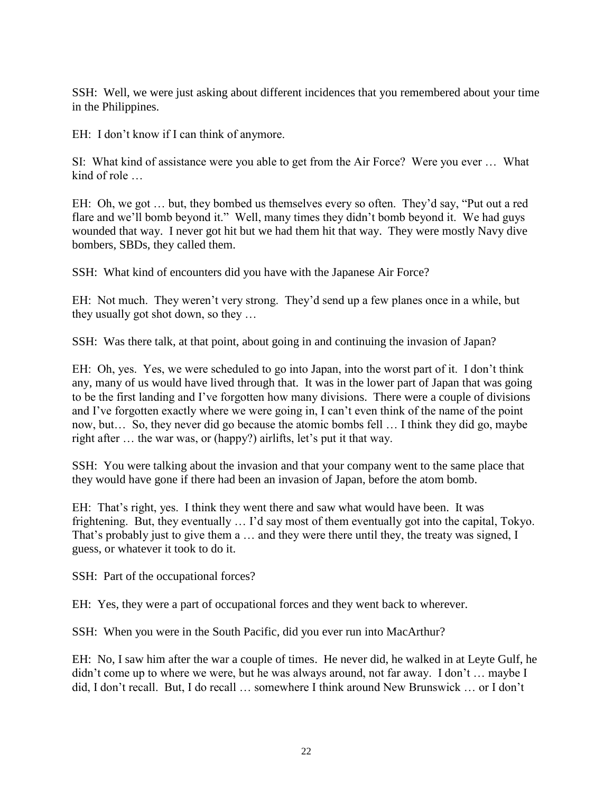SSH: Well, we were just asking about different incidences that you remembered about your time in the Philippines.

EH: I don't know if I can think of anymore.

SI: What kind of assistance were you able to get from the Air Force? Were you ever … What kind of role

EH: Oh, we got … but, they bombed us themselves every so often. They'd say, "Put out a red flare and we'll bomb beyond it." Well, many times they didn't bomb beyond it. We had guys wounded that way. I never got hit but we had them hit that way. They were mostly Navy dive bombers, SBDs, they called them.

SSH: What kind of encounters did you have with the Japanese Air Force?

EH: Not much. They weren't very strong. They'd send up a few planes once in a while, but they usually got shot down, so they …

SSH: Was there talk, at that point, about going in and continuing the invasion of Japan?

EH: Oh, yes. Yes, we were scheduled to go into Japan, into the worst part of it. I don't think any, many of us would have lived through that. It was in the lower part of Japan that was going to be the first landing and I've forgotten how many divisions. There were a couple of divisions and I've forgotten exactly where we were going in, I can't even think of the name of the point now, but… So, they never did go because the atomic bombs fell … I think they did go, maybe right after … the war was, or (happy?) airlifts, let's put it that way.

SSH: You were talking about the invasion and that your company went to the same place that they would have gone if there had been an invasion of Japan, before the atom bomb.

EH: That's right, yes. I think they went there and saw what would have been. It was frightening. But, they eventually … I'd say most of them eventually got into the capital, Tokyo. That's probably just to give them a … and they were there until they, the treaty was signed, I guess, or whatever it took to do it.

SSH: Part of the occupational forces?

EH: Yes, they were a part of occupational forces and they went back to wherever.

SSH: When you were in the South Pacific, did you ever run into MacArthur?

EH: No, I saw him after the war a couple of times. He never did, he walked in at Leyte Gulf, he didn't come up to where we were, but he was always around, not far away. I don't … maybe I did, I don't recall. But, I do recall … somewhere I think around New Brunswick … or I don't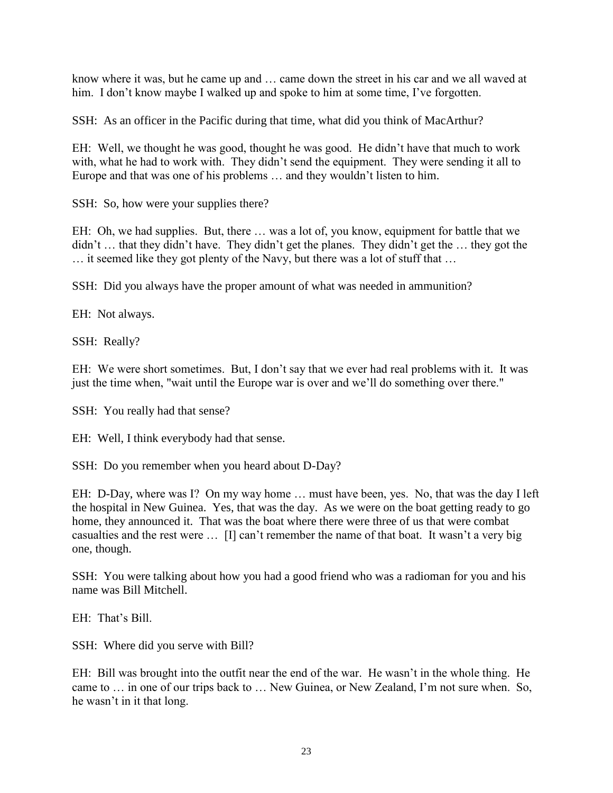know where it was, but he came up and … came down the street in his car and we all waved at him. I don't know maybe I walked up and spoke to him at some time, I've forgotten.

SSH: As an officer in the Pacific during that time, what did you think of MacArthur?

EH: Well, we thought he was good, thought he was good. He didn't have that much to work with, what he had to work with. They didn't send the equipment. They were sending it all to Europe and that was one of his problems … and they wouldn't listen to him.

SSH: So, how were your supplies there?

EH: Oh, we had supplies. But, there … was a lot of, you know, equipment for battle that we didn't … that they didn't have. They didn't get the planes. They didn't get the … they got the … it seemed like they got plenty of the Navy, but there was a lot of stuff that …

SSH: Did you always have the proper amount of what was needed in ammunition?

EH: Not always.

SSH: Really?

EH: We were short sometimes. But, I don't say that we ever had real problems with it. It was just the time when, "wait until the Europe war is over and we'll do something over there."

SSH: You really had that sense?

EH: Well, I think everybody had that sense.

SSH: Do you remember when you heard about D-Day?

EH: D-Day, where was I? On my way home … must have been, yes. No, that was the day I left the hospital in New Guinea. Yes, that was the day. As we were on the boat getting ready to go home, they announced it. That was the boat where there were three of us that were combat casualties and the rest were … [I] can't remember the name of that boat. It wasn't a very big one, though.

SSH: You were talking about how you had a good friend who was a radioman for you and his name was Bill Mitchell.

EH: That's Bill.

SSH: Where did you serve with Bill?

EH: Bill was brought into the outfit near the end of the war. He wasn't in the whole thing. He came to … in one of our trips back to … New Guinea, or New Zealand, I'm not sure when. So, he wasn't in it that long.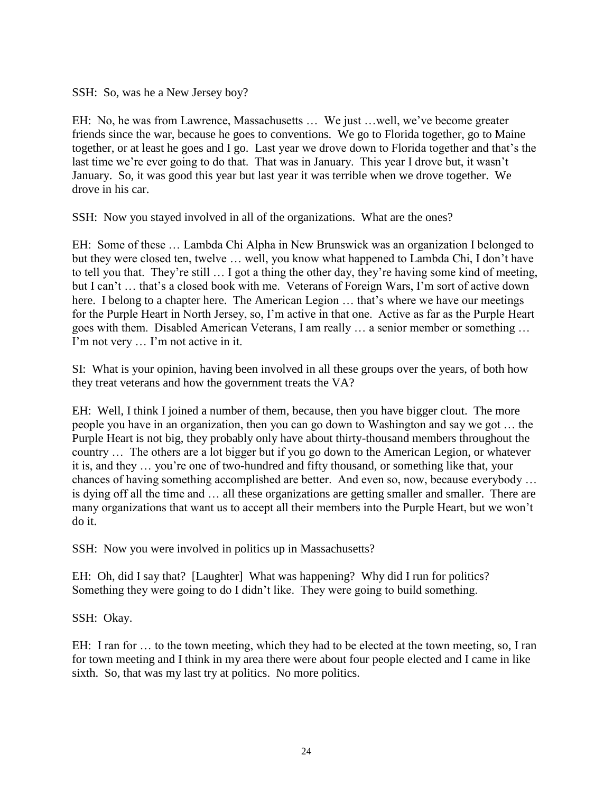SSH: So, was he a New Jersey boy?

EH: No, he was from Lawrence, Massachusetts … We just …well, we've become greater friends since the war, because he goes to conventions. We go to Florida together, go to Maine together, or at least he goes and I go. Last year we drove down to Florida together and that's the last time we're ever going to do that. That was in January. This year I drove but, it wasn't January. So, it was good this year but last year it was terrible when we drove together. We drove in his car.

SSH: Now you stayed involved in all of the organizations. What are the ones?

EH: Some of these … Lambda Chi Alpha in New Brunswick was an organization I belonged to but they were closed ten, twelve … well, you know what happened to Lambda Chi, I don't have to tell you that. They're still … I got a thing the other day, they're having some kind of meeting, but I can't … that's a closed book with me. Veterans of Foreign Wars, I'm sort of active down here. I belong to a chapter here. The American Legion ... that's where we have our meetings for the Purple Heart in North Jersey, so, I'm active in that one. Active as far as the Purple Heart goes with them. Disabled American Veterans, I am really … a senior member or something … I'm not very … I'm not active in it.

SI: What is your opinion, having been involved in all these groups over the years, of both how they treat veterans and how the government treats the VA?

EH: Well, I think I joined a number of them, because, then you have bigger clout. The more people you have in an organization, then you can go down to Washington and say we got … the Purple Heart is not big, they probably only have about thirty-thousand members throughout the country … The others are a lot bigger but if you go down to the American Legion, or whatever it is, and they … you're one of two-hundred and fifty thousand, or something like that, your chances of having something accomplished are better. And even so, now, because everybody … is dying off all the time and … all these organizations are getting smaller and smaller. There are many organizations that want us to accept all their members into the Purple Heart, but we won't do it.

SSH: Now you were involved in politics up in Massachusetts?

EH: Oh, did I say that? [Laughter] What was happening? Why did I run for politics? Something they were going to do I didn't like. They were going to build something.

SSH: Okay.

EH: I ran for … to the town meeting, which they had to be elected at the town meeting, so, I ran for town meeting and I think in my area there were about four people elected and I came in like sixth. So, that was my last try at politics. No more politics.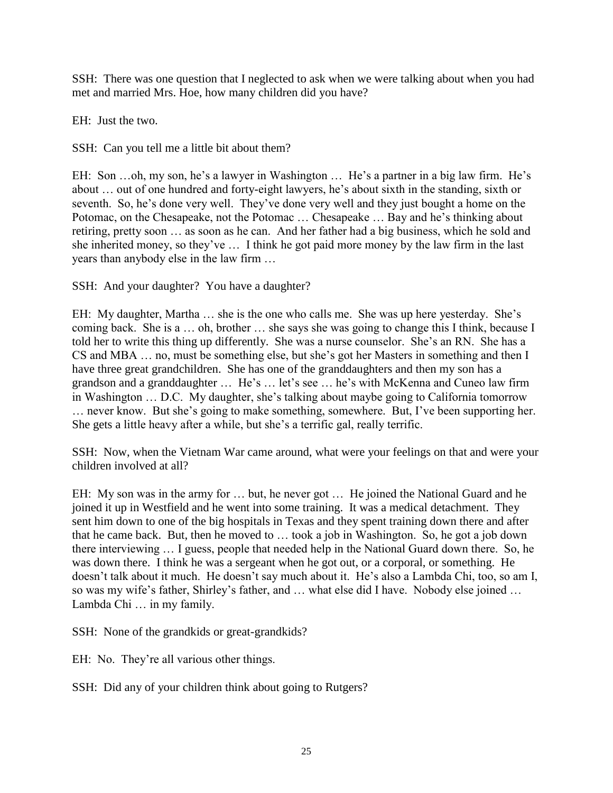SSH: There was one question that I neglected to ask when we were talking about when you had met and married Mrs. Hoe, how many children did you have?

EH: Just the two.

SSH: Can you tell me a little bit about them?

EH: Son …oh, my son, he's a lawyer in Washington … He's a partner in a big law firm. He's about … out of one hundred and forty-eight lawyers, he's about sixth in the standing, sixth or seventh. So, he's done very well. They've done very well and they just bought a home on the Potomac, on the Chesapeake, not the Potomac … Chesapeake … Bay and he's thinking about retiring, pretty soon … as soon as he can. And her father had a big business, which he sold and she inherited money, so they've … I think he got paid more money by the law firm in the last years than anybody else in the law firm …

SSH: And your daughter? You have a daughter?

EH: My daughter, Martha … she is the one who calls me. She was up here yesterday. She's coming back. She is a … oh, brother … she says she was going to change this I think, because I told her to write this thing up differently. She was a nurse counselor. She's an RN. She has a CS and MBA … no, must be something else, but she's got her Masters in something and then I have three great grandchildren. She has one of the granddaughters and then my son has a grandson and a granddaughter … He's … let's see … he's with McKenna and Cuneo law firm in Washington … D.C. My daughter, she's talking about maybe going to California tomorrow … never know. But she's going to make something, somewhere. But, I've been supporting her. She gets a little heavy after a while, but she's a terrific gal, really terrific.

SSH: Now, when the Vietnam War came around, what were your feelings on that and were your children involved at all?

EH: My son was in the army for … but, he never got … He joined the National Guard and he joined it up in Westfield and he went into some training. It was a medical detachment. They sent him down to one of the big hospitals in Texas and they spent training down there and after that he came back. But, then he moved to … took a job in Washington. So, he got a job down there interviewing … I guess, people that needed help in the National Guard down there. So, he was down there. I think he was a sergeant when he got out, or a corporal, or something. He doesn't talk about it much. He doesn't say much about it. He's also a Lambda Chi, too, so am I, so was my wife's father, Shirley's father, and … what else did I have. Nobody else joined … Lambda Chi … in my family.

SSH: None of the grandkids or great-grandkids?

EH: No. They're all various other things.

SSH: Did any of your children think about going to Rutgers?